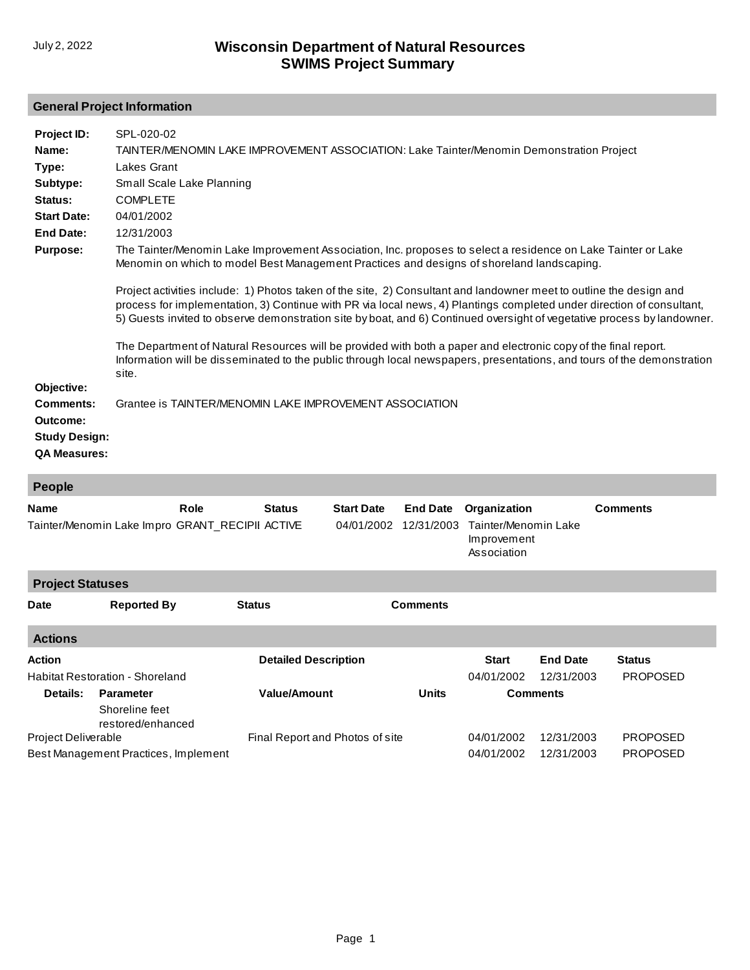## **General Project Information**

| Project ID:<br>Name:<br>Type:<br>Subtype:<br>Status:<br><b>Start Date:</b><br><b>End Date:</b><br><b>Purpose:</b> | SPL-020-02<br>TAINTER/MENOMIN LAKE IMPROVEMENT ASSOCIATION: Lake Tainter/Menomin Demonstration Project<br><b>Lakes Grant</b><br>Small Scale Lake Planning<br><b>COMPLETE</b><br>04/01/2002<br>12/31/2003<br>The Tainter/Menomin Lake Improvement Association, Inc. proposes to select a residence on Lake Tainter or Lake<br>Menomin on which to model Best Management Practices and designs of shoreland landscaping.<br>Project activities include: 1) Photos taken of the site, 2) Consultant and landowner meet to outline the design and<br>process for implementation, 3) Continue with PR via local news, 4) Plantings completed under direction of consultant,<br>5) Guests invited to observe demonstration site by boat, and 6) Continued oversight of vegetative process by landowner. |  |  |  |  |  |  |
|-------------------------------------------------------------------------------------------------------------------|---------------------------------------------------------------------------------------------------------------------------------------------------------------------------------------------------------------------------------------------------------------------------------------------------------------------------------------------------------------------------------------------------------------------------------------------------------------------------------------------------------------------------------------------------------------------------------------------------------------------------------------------------------------------------------------------------------------------------------------------------------------------------------------------------|--|--|--|--|--|--|
| Objective:                                                                                                        | The Department of Natural Resources will be provided with both a paper and electronic copy of the final report.<br>Information will be disseminated to the public through local newspapers, presentations, and tours of the demonstration<br>site.                                                                                                                                                                                                                                                                                                                                                                                                                                                                                                                                                |  |  |  |  |  |  |
| <b>Comments:</b><br>Outcome:<br><b>Study Design:</b><br><b>QA Measures:</b>                                       | Grantee is TAINTER/MENOMIN LAKE IMPROVEMENT ASSOCIATION                                                                                                                                                                                                                                                                                                                                                                                                                                                                                                                                                                                                                                                                                                                                           |  |  |  |  |  |  |

| <b>People</b>                          |                                                         |               |                                 |                                 |                               |                                                                    |                 |                 |  |
|----------------------------------------|---------------------------------------------------------|---------------|---------------------------------|---------------------------------|-------------------------------|--------------------------------------------------------------------|-----------------|-----------------|--|
| <b>Name</b>                            | Role<br>Tainter/Menomin Lake Impro GRANT_RECIPII ACTIVE |               | <b>Status</b>                   | <b>Start Date</b><br>04/01/2002 | <b>End Date</b><br>12/31/2003 | Organization<br>Tainter/Menomin Lake<br>Improvement<br>Association |                 | <b>Comments</b> |  |
| <b>Project Statuses</b>                |                                                         |               |                                 |                                 |                               |                                                                    |                 |                 |  |
| <b>Date</b>                            | <b>Reported By</b>                                      | <b>Status</b> |                                 |                                 | <b>Comments</b>               |                                                                    |                 |                 |  |
| <b>Actions</b>                         |                                                         |               |                                 |                                 |                               |                                                                    |                 |                 |  |
| <b>Action</b>                          |                                                         |               | <b>Detailed Description</b>     |                                 |                               | <b>Start</b>                                                       | <b>End Date</b> | <b>Status</b>   |  |
| <b>Habitat Restoration - Shoreland</b> |                                                         |               |                                 |                                 |                               | 04/01/2002                                                         | 12/31/2003      | <b>PROPOSED</b> |  |
| Details:                               | <b>Parameter</b><br>Shoreline feet<br>restored/enhanced |               | <b>Value/Amount</b>             |                                 | <b>Units</b>                  |                                                                    | <b>Comments</b> |                 |  |
| Project Deliverable                    |                                                         |               | Final Report and Photos of site |                                 |                               | 04/01/2002                                                         | 12/31/2003      | <b>PROPOSED</b> |  |
| Best Management Practices, Implement   |                                                         |               |                                 |                                 |                               | 04/01/2002                                                         | 12/31/2003      | <b>PROPOSED</b> |  |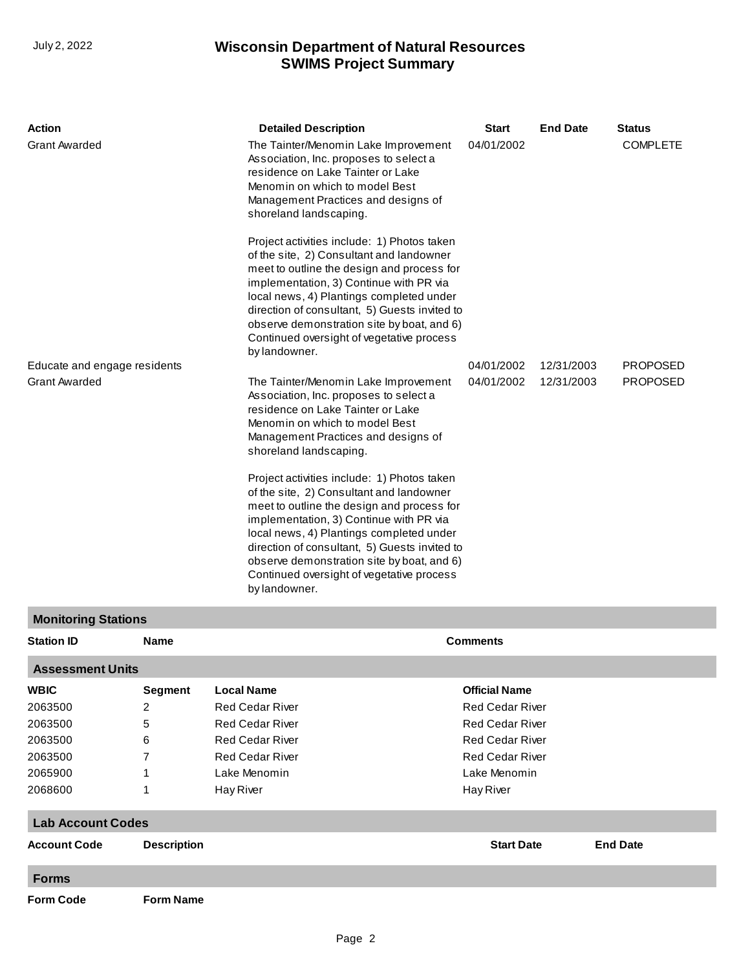## **SWIMS Project Summary** July 2, 2022 **Wisconsin Department of Natural Resources**

| Action<br><b>Grant Awarded</b><br>Educate and engage residents<br><b>Grant Awarded</b> |                             | <b>Detailed Description</b><br>The Tainter/Menomin Lake Improvement<br>Association, Inc. proposes to select a<br>residence on Lake Tainter or Lake<br>Menomin on which to model Best<br>Management Practices and designs of<br>shoreland landscaping.<br>Project activities include: 1) Photos taken<br>of the site, 2) Consultant and landowner<br>meet to outline the design and process for<br>implementation, 3) Continue with PR via<br>local news, 4) Plantings completed under<br>direction of consultant, 5) Guests invited to<br>observe demonstration site by boat, and 6)<br>Continued oversight of vegetative process<br>by landowner.<br>The Tainter/Menomin Lake Improvement<br>Association, Inc. proposes to select a<br>residence on Lake Tainter or Lake<br>Menomin on which to model Best<br>Management Practices and designs of | <b>Start</b><br>04/01/2002<br>04/01/2002<br>04/01/2002 | <b>End Date</b><br>12/31/2003<br>12/31/2003 | <b>Status</b><br><b>COMPLETE</b><br><b>PROPOSED</b><br><b>PROPOSED</b> |
|----------------------------------------------------------------------------------------|-----------------------------|----------------------------------------------------------------------------------------------------------------------------------------------------------------------------------------------------------------------------------------------------------------------------------------------------------------------------------------------------------------------------------------------------------------------------------------------------------------------------------------------------------------------------------------------------------------------------------------------------------------------------------------------------------------------------------------------------------------------------------------------------------------------------------------------------------------------------------------------------|--------------------------------------------------------|---------------------------------------------|------------------------------------------------------------------------|
|                                                                                        |                             | shoreland landscaping.<br>Project activities include: 1) Photos taken<br>of the site, 2) Consultant and landowner<br>meet to outline the design and process for<br>implementation, 3) Continue with PR via<br>local news, 4) Plantings completed under<br>direction of consultant, 5) Guests invited to<br>observe demonstration site by boat, and 6)<br>Continued oversight of vegetative process<br>by landowner.                                                                                                                                                                                                                                                                                                                                                                                                                                |                                                        |                                             |                                                                        |
| <b>Monitoring Stations</b>                                                             |                             |                                                                                                                                                                                                                                                                                                                                                                                                                                                                                                                                                                                                                                                                                                                                                                                                                                                    |                                                        |                                             |                                                                        |
| <b>Station ID</b>                                                                      | <b>Name</b>                 |                                                                                                                                                                                                                                                                                                                                                                                                                                                                                                                                                                                                                                                                                                                                                                                                                                                    | <b>Comments</b>                                        |                                             |                                                                        |
| <b>Assessment Units</b>                                                                |                             |                                                                                                                                                                                                                                                                                                                                                                                                                                                                                                                                                                                                                                                                                                                                                                                                                                                    |                                                        |                                             |                                                                        |
| <b>WBIC</b>                                                                            | <b>Segment</b>              | <b>Local Name</b>                                                                                                                                                                                                                                                                                                                                                                                                                                                                                                                                                                                                                                                                                                                                                                                                                                  | <b>Official Name</b>                                   |                                             |                                                                        |
| 2063500                                                                                | 2                           | <b>Red Cedar River</b>                                                                                                                                                                                                                                                                                                                                                                                                                                                                                                                                                                                                                                                                                                                                                                                                                             | <b>Red Cedar River</b>                                 |                                             |                                                                        |
| 2063500                                                                                | 5<br><b>Red Cedar River</b> |                                                                                                                                                                                                                                                                                                                                                                                                                                                                                                                                                                                                                                                                                                                                                                                                                                                    | <b>Red Cedar River</b>                                 |                                             |                                                                        |
| 2063500                                                                                | <b>Red Cedar River</b><br>6 |                                                                                                                                                                                                                                                                                                                                                                                                                                                                                                                                                                                                                                                                                                                                                                                                                                                    | <b>Red Cedar River</b>                                 |                                             |                                                                        |
| 2063500                                                                                | 7                           | <b>Red Cedar River</b>                                                                                                                                                                                                                                                                                                                                                                                                                                                                                                                                                                                                                                                                                                                                                                                                                             |                                                        | <b>Red Cedar River</b>                      |                                                                        |
| 2065900                                                                                | 1                           | Lake Menomin                                                                                                                                                                                                                                                                                                                                                                                                                                                                                                                                                                                                                                                                                                                                                                                                                                       |                                                        | Lake Menomin                                |                                                                        |
| 2068600<br>Hay River<br>1                                                              |                             |                                                                                                                                                                                                                                                                                                                                                                                                                                                                                                                                                                                                                                                                                                                                                                                                                                                    | Hay River                                              |                                             |                                                                        |
| <b>Lab Account Codes</b>                                                               |                             |                                                                                                                                                                                                                                                                                                                                                                                                                                                                                                                                                                                                                                                                                                                                                                                                                                                    |                                                        |                                             |                                                                        |
| <b>Account Code</b>                                                                    | <b>Description</b>          |                                                                                                                                                                                                                                                                                                                                                                                                                                                                                                                                                                                                                                                                                                                                                                                                                                                    | <b>Start Date</b>                                      |                                             | <b>End Date</b>                                                        |
| <b>Forms</b>                                                                           |                             |                                                                                                                                                                                                                                                                                                                                                                                                                                                                                                                                                                                                                                                                                                                                                                                                                                                    |                                                        |                                             |                                                                        |
| <b>Form Code</b>                                                                       | <b>Form Name</b>            |                                                                                                                                                                                                                                                                                                                                                                                                                                                                                                                                                                                                                                                                                                                                                                                                                                                    |                                                        |                                             |                                                                        |